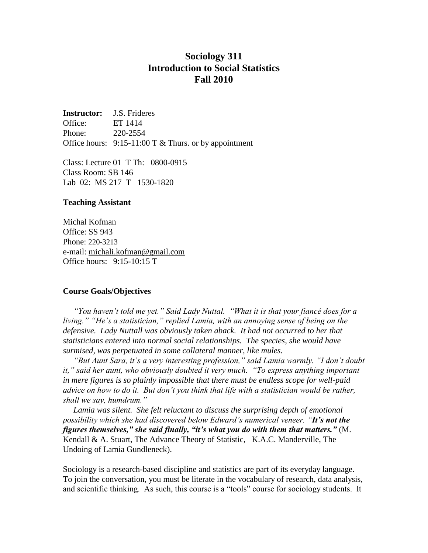# **Sociology 311 Introduction to Social Statistics Fall 2010**

**Instructor:** J.S. Frideres Office: ET 1414 Phone: 220-2554 Office hours:  $9:15-11:00 \text{ T} \& \text{Thus, or by appointment}$ 

Class: Lecture 01 T Th: 0800-0915 Class Room: SB 146 Lab 02: MS 217 T 1530-1820

#### **Teaching Assistant**

Michal Kofman Office: SS 943 Phone: 220-3213 e-mail: [michali.kofman@gmail.com](mailto:michali.kofman@gmail.com) Office hours: 9:15-10:15 T

#### **Course Goals/Objectives**

 *"You haven't told me yet." Said Lady Nuttal. "What it is that your fiancé does for a living." "He's a statistician," replied Lamia, with an annoying sense of being on the defensive. Lady Nuttall was obviously taken aback. It had not occurred to her that statisticians entered into normal social relationships. The species, she would have surmised, was perpetuated in some collateral manner, like mules.*

 *"But Aunt Sara, it's a very interesting profession," said Lamia warmly. "I don't doubt it," said her aunt, who obviously doubted it very much. "To express anything important in mere figures is so plainly impossible that there must be endless scope for well-paid advice on how to do it. But don't you think that life with a statistician would be rather, shall we say, humdrum."*

 *Lamia was silent. She felt reluctant to discuss the surprising depth of emotional possibility which she had discovered below Edward's numerical veneer. "It's not the figures themselves," she said finally, "it's what you do with them that matters."* (M. Kendall & A. Stuart, The Advance Theory of Statistic,– K.A.C. Manderville, The Undoing of Lamia Gundleneck).

Sociology is a research-based discipline and statistics are part of its everyday language. To join the conversation, you must be literate in the vocabulary of research, data analysis, and scientific thinking. As such, this course is a "tools" course for sociology students. It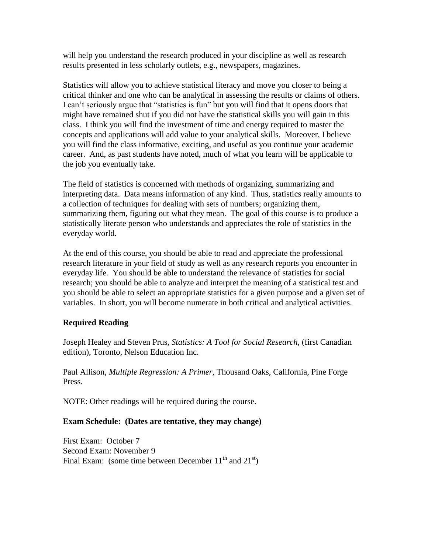will help you understand the research produced in your discipline as well as research results presented in less scholarly outlets, e.g., newspapers, magazines.

Statistics will allow you to achieve statistical literacy and move you closer to being a critical thinker and one who can be analytical in assessing the results or claims of others. I can't seriously argue that "statistics is fun" but you will find that it opens doors that might have remained shut if you did not have the statistical skills you will gain in this class. I think you will find the investment of time and energy required to master the concepts and applications will add value to your analytical skills. Moreover, I believe you will find the class informative, exciting, and useful as you continue your academic career. And, as past students have noted, much of what you learn will be applicable to the job you eventually take.

The field of statistics is concerned with methods of organizing, summarizing and interpreting data. Data means information of any kind. Thus, statistics really amounts to a collection of techniques for dealing with sets of numbers; organizing them, summarizing them, figuring out what they mean. The goal of this course is to produce a statistically literate person who understands and appreciates the role of statistics in the everyday world.

At the end of this course, you should be able to read and appreciate the professional research literature in your field of study as well as any research reports you encounter in everyday life. You should be able to understand the relevance of statistics for social research; you should be able to analyze and interpret the meaning of a statistical test and you should be able to select an appropriate statistics for a given purpose and a given set of variables. In short, you will become numerate in both critical and analytical activities.

### **Required Reading**

Joseph Healey and Steven Prus, *Statistics: A Tool for Social Research*, (first Canadian edition), Toronto, Nelson Education Inc.

Paul Allison, *Multiple Regression: A Primer,* Thousand Oaks, California, Pine Forge Press.

NOTE: Other readings will be required during the course.

### **Exam Schedule: (Dates are tentative, they may change)**

First Exam: October 7 Second Exam: November 9 Final Exam: (some time between December  $11<sup>th</sup>$  and  $21<sup>st</sup>$ )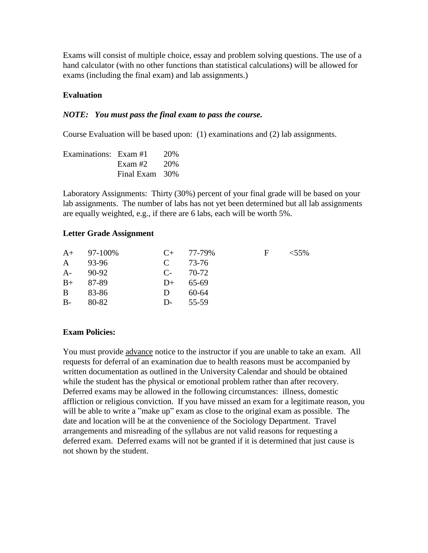Exams will consist of multiple choice, essay and problem solving questions. The use of a hand calculator (with no other functions than statistical calculations) will be allowed for exams (including the final exam) and lab assignments.)

#### **Evaluation**

#### *NOTE: You must pass the final exam to pass the course.*

Course Evaluation will be based upon: (1) examinations and (2) lab assignments.

| Examinations: Exam #1 |                | 20% |
|-----------------------|----------------|-----|
|                       | Exam #2 $20\%$ |     |
|                       | Final Exam 30% |     |

Laboratory Assignments: Thirty (30%) percent of your final grade will be based on your lab assignments. The number of labs has not yet been determined but all lab assignments are equally weighted, e.g., if there are 6 labs, each will be worth 5%.

#### **Letter Grade Assignment**

|              | $A+ 97-100\%$ |               | $C_{+}$ 77-79% | $-F$ | $< 55\%$ |
|--------------|---------------|---------------|----------------|------|----------|
| $\mathbf{A}$ | 93-96         | $\mathbf C$   | 73-76          |      |          |
| $A-$         | 90-92         | $C_{2}$ 70-72 |                |      |          |
| $B+$         | 87-89         | $D+$          | 65-69          |      |          |
| B.           | 83-86         | D             | $60 - 64$      |      |          |
| $B -$        | 80-82         | D-            | 55-59          |      |          |

#### **Exam Policies:**

You must provide advance notice to the instructor if you are unable to take an exam. All requests for deferral of an examination due to health reasons must be accompanied by written documentation as outlined in the University Calendar and should be obtained while the student has the physical or emotional problem rather than after recovery. Deferred exams may be allowed in the following circumstances: illness, domestic affliction or religious conviction. If you have missed an exam for a legitimate reason, you will be able to write a "make up" exam as close to the original exam as possible. The date and location will be at the convenience of the Sociology Department. Travel arrangements and misreading of the syllabus are not valid reasons for requesting a deferred exam. Deferred exams will not be granted if it is determined that just cause is not shown by the student.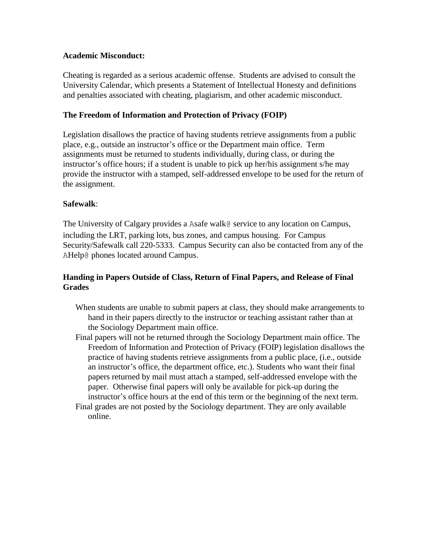#### **Academic Misconduct:**

Cheating is regarded as a serious academic offense. Students are advised to consult the University Calendar, which presents a Statement of Intellectual Honesty and definitions and penalties associated with cheating, plagiarism, and other academic misconduct.

### **The Freedom of Information and Protection of Privacy (FOIP)**

Legislation disallows the practice of having students retrieve assignments from a public place, e.g., outside an instructor's office or the Department main office. Term assignments must be returned to students individually, during class, or during the instructor's office hours; if a student is unable to pick up her/his assignment s/he may provide the instructor with a stamped, self-addressed envelope to be used for the return of the assignment.

### **Safewalk**:

The University of Calgary provides a Asafe walk@ service to any location on Campus, including the LRT, parking lots, bus zones, and campus housing. For Campus Security/Safewalk call 220-5333. Campus Security can also be contacted from any of the AHelp@ phones located around Campus.

# **Handing in Papers Outside of Class, Return of Final Papers, and Release of Final Grades**

- When students are unable to submit papers at class, they should make arrangements to hand in their papers directly to the instructor or teaching assistant rather than at the Sociology Department main office.
- Final papers will not be returned through the Sociology Department main office. The Freedom of Information and Protection of Privacy (FOIP) legislation disallows the practice of having students retrieve assignments from a public place, (i.e., outside an instructor's office, the department office, etc.). Students who want their final papers returned by mail must attach a stamped, self-addressed envelope with the paper. Otherwise final papers will only be available for pick-up during the instructor's office hours at the end of this term or the beginning of the next term.
- Final grades are not posted by the Sociology department. They are only available online.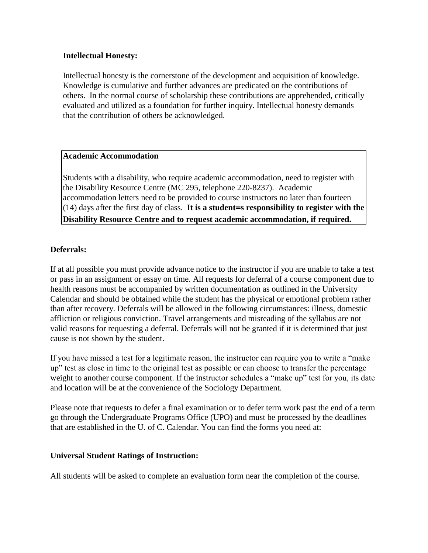### **Intellectual Honesty:**

Intellectual honesty is the cornerstone of the development and acquisition of knowledge. Knowledge is cumulative and further advances are predicated on the contributions of others. In the normal course of scholarship these contributions are apprehended, critically evaluated and utilized as a foundation for further inquiry. Intellectual honesty demands that the contribution of others be acknowledged.

# **Academic Accommodation**

Students with a disability, who require academic accommodation, need to register with the Disability Resource Centre (MC 295, telephone 220-8237). Academic accommodation letters need to be provided to course instructors no later than fourteen (14) days after the first day of class. **It is a student=s responsibility to register with the Disability Resource Centre and to request academic accommodation, if required.**

#### **Deferrals:**

If at all possible you must provide advance notice to the instructor if you are unable to take a test or pass in an assignment or essay on time. All requests for deferral of a course component due to health reasons must be accompanied by written documentation as outlined in the University Calendar and should be obtained while the student has the physical or emotional problem rather than after recovery. Deferrals will be allowed in the following circumstances: illness, domestic affliction or religious conviction. Travel arrangements and misreading of the syllabus are not valid reasons for requesting a deferral. Deferrals will not be granted if it is determined that just cause is not shown by the student.

If you have missed a test for a legitimate reason, the instructor can require you to write a "make up" test as close in time to the original test as possible or can choose to transfer the percentage weight to another course component. If the instructor schedules a "make up" test for you, its date and location will be at the convenience of the Sociology Department.

Please note that requests to defer a final examination or to defer term work past the end of a term go through the Undergraduate Programs Office (UPO) and must be processed by the deadlines that are established in the U. of C. Calendar. You can find the forms you need at:

#### **Universal Student Ratings of Instruction:**

All students will be asked to complete an evaluation form near the completion of the course.